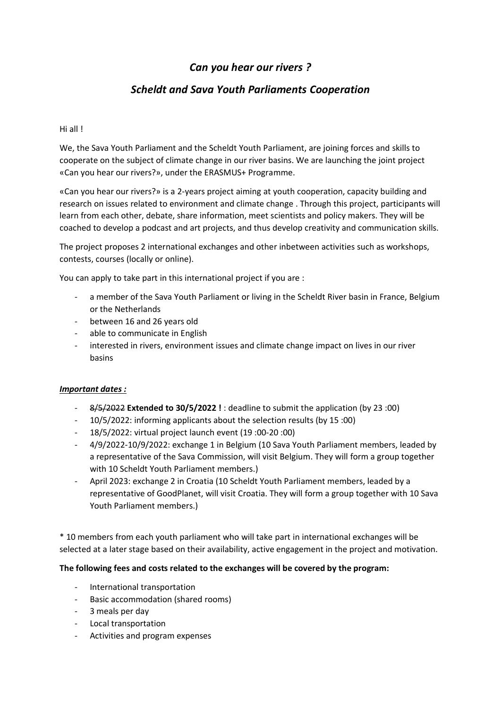# *Can you hear our rivers ?*

## *Scheldt and Sava Youth Parliaments Cooperation*

## Hi all !

We, the Sava Youth Parliament and the Scheldt Youth Parliament, are joining forces and skills to cooperate on the subject of climate change in our river basins. We are launching the joint project «Can you hear our rivers?», under the ERASMUS+ Programme.

«Can you hear our rivers?» is a 2-years project aiming at youth cooperation, capacity building and research on issues related to environment and climate change . Through this project, participants will learn from each other, debate, share information, meet scientists and policy makers. They will be coached to develop a podcast and art projects, and thus develop creativity and communication skills.

The project proposes 2 international exchanges and other inbetween activities such as workshops, contests, courses (locally or online).

You can apply to take part in this international project if you are :

- a member of the Sava Youth Parliament or living in the Scheldt River basin in France, Belgium or the Netherlands
- between 16 and 26 years old
- able to communicate in English
- interested in rivers, environment issues and climate change impact on lives in our river basins

#### *Important dates :*

- 8/5/2022 **Extended to 30/5/2022 !** : deadline to submit the application (by 23 :00)
- 10/5/2022: informing applicants about the selection results (by 15 :00)
- 18/5/2022: virtual project launch event (19 :00-20 :00)
- 4/9/2022-10/9/2022: exchange 1 in Belgium (10 Sava Youth Parliament members, leaded by a representative of the Sava Commission, will visit Belgium. They will form a group together with 10 Scheldt Youth Parliament members.)
- April 2023: exchange 2 in Croatia (10 Scheldt Youth Parliament members, leaded by a representative of GoodPlanet, will visit Croatia. They will form a group together with 10 Sava Youth Parliament members.)

\* 10 members from each youth parliament who will take part in international exchanges will be selected at a later stage based on their availability, active engagement in the project and motivation.

#### **The following fees and costs related to the exchanges will be covered by the program:**

- International transportation
- Basic accommodation (shared rooms)
- 3 meals per day
- Local transportation
- Activities and program expenses